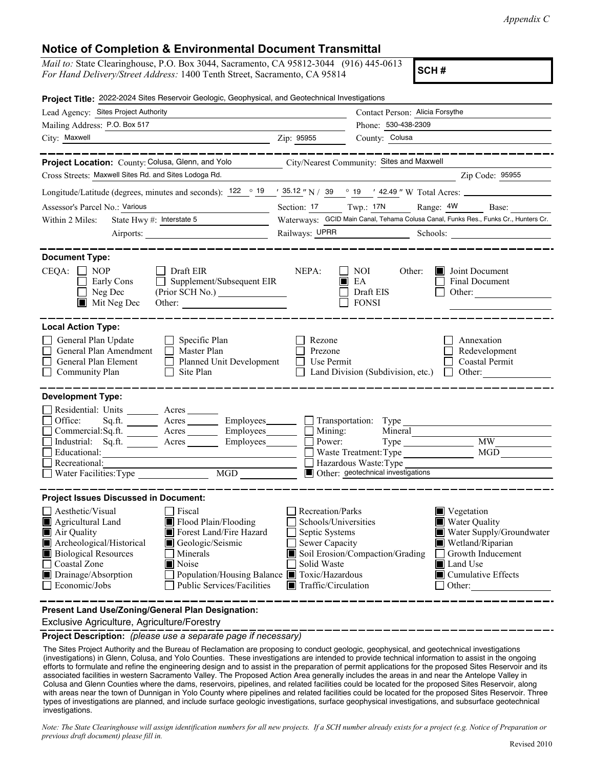## **Notice of Completion & Environmental Document Transmittal**

*Mail to:* State Clearinghouse, P.O. Box 3044, Sacramento, CA 95812-3044 (916) 445-0613 *For Hand Delivery/Street Address:* 1400 Tenth Street, Sacramento, CA 95814

**SCH #**

| Project Title: 2022-2024 Sites Reservoir Geologic, Geophysical, and Geotechnical Investigations                                                                                                                                                                                                                                                                    |                                                                                                                                   |                                                                                                 |                                                                                                                                                                      |  |
|--------------------------------------------------------------------------------------------------------------------------------------------------------------------------------------------------------------------------------------------------------------------------------------------------------------------------------------------------------------------|-----------------------------------------------------------------------------------------------------------------------------------|-------------------------------------------------------------------------------------------------|----------------------------------------------------------------------------------------------------------------------------------------------------------------------|--|
| Lead Agency: Sites Project Authority                                                                                                                                                                                                                                                                                                                               |                                                                                                                                   | Contact Person: Alicia Forsythe                                                                 |                                                                                                                                                                      |  |
| Mailing Address: P.O. Box 517                                                                                                                                                                                                                                                                                                                                      | Phone: 530-438-2309                                                                                                               |                                                                                                 |                                                                                                                                                                      |  |
| City: Maxwell                                                                                                                                                                                                                                                                                                                                                      | Zip: 95955                                                                                                                        | County: Colusa                                                                                  |                                                                                                                                                                      |  |
|                                                                                                                                                                                                                                                                                                                                                                    |                                                                                                                                   |                                                                                                 |                                                                                                                                                                      |  |
| Project Location: County: Colusa, Glenn, and Yolo                                                                                                                                                                                                                                                                                                                  | City/Nearest Community: Sites and Maxwell                                                                                         |                                                                                                 |                                                                                                                                                                      |  |
| Cross Streets: Maxwell Sites Rd. and Sites Lodoga Rd.                                                                                                                                                                                                                                                                                                              |                                                                                                                                   |                                                                                                 | Zip Code: 95955                                                                                                                                                      |  |
| Longitude/Latitude (degrees, minutes and seconds): $122 \degree 19$ / $35.12$ "N / 39 ° 19 ′ 42.49 "W Total Acres:                                                                                                                                                                                                                                                 |                                                                                                                                   |                                                                                                 |                                                                                                                                                                      |  |
| Assessor's Parcel No.: Various<br><u> 1990 - Johann Barbara, martin a</u>                                                                                                                                                                                                                                                                                          |                                                                                                                                   |                                                                                                 | Section: 17 Twp.: 17N Range: 4W Base:                                                                                                                                |  |
| State Hwy #: Interstate 5<br>Within 2 Miles:                                                                                                                                                                                                                                                                                                                       |                                                                                                                                   |                                                                                                 | Waterways: GCID Main Canal, Tehama Colusa Canal, Funks Res., Funks Cr., Hunters Cr.                                                                                  |  |
|                                                                                                                                                                                                                                                                                                                                                                    | Railways: UPRR<br>Schools:                                                                                                        |                                                                                                 |                                                                                                                                                                      |  |
| <b>Document Type:</b>                                                                                                                                                                                                                                                                                                                                              |                                                                                                                                   |                                                                                                 |                                                                                                                                                                      |  |
| $CEQA: \Box NOP$<br>$\Box$ Draft EIR<br>Supplement/Subsequent EIR<br>Early Cons<br>Neg Dec<br>$\blacksquare$ Mit Neg Dec                                                                                                                                                                                                                                           | NEPA:<br>IП                                                                                                                       | NOI<br>Other:<br>EA<br>Draft EIS<br><b>FONSI</b>                                                | Joint Document<br>Final Document<br>Other:                                                                                                                           |  |
| <b>Local Action Type:</b><br>General Plan Update<br>$\Box$ Specific Plan<br>General Plan Amendment<br>$\Box$ Master Plan<br>General Plan Element<br>Planned Unit Development<br>Community Plan<br>Site Plan                                                                                                                                                        | Rezone<br>Prezone<br>Use Permit                                                                                                   | Land Division (Subdivision, etc.)                                                               | Annexation<br>Redevelopment<br>Coastal Permit<br>$\Box$ Other:                                                                                                       |  |
| <b>Development Type:</b>                                                                                                                                                                                                                                                                                                                                           |                                                                                                                                   |                                                                                                 |                                                                                                                                                                      |  |
| Residential: Units ________ Acres _____<br>Office:<br>Acres ________ Employees ________ __ Transportation: Type<br>Sq.ft.<br>Commercial:Sq.ft. ________ Acres __________ Employees_________ $\Box$<br>Industrial: Sq.ft.<br>Acres Employees 1<br>Educational:<br>Recreational:<br>MGD<br>Water Facilities: Type                                                    | Mining:<br>Power:                                                                                                                 | Mineral<br>Waste Treatment: Type<br>Hazardous Waste: Type<br>Other: geotechnical investigations | <b>MW</b><br><b>MGD</b>                                                                                                                                              |  |
| <b>Project Issues Discussed in Document:</b>                                                                                                                                                                                                                                                                                                                       |                                                                                                                                   |                                                                                                 |                                                                                                                                                                      |  |
| Aesthetic/Visual<br>Fiscal<br>Flood Plain/Flooding<br>Agricultural Land<br>Air Quality<br>Forest Land/Fire Hazard<br>Archeological/Historical<br>Geologic/Seismic<br><b>Biological Resources</b><br>Minerals<br>Coastal Zone<br>Noise<br>Drainage/Absorption<br>Population/Housing Balance ■ Toxic/Hazardous<br>Economic/Jobs<br><b>Public Services/Facilities</b> | Recreation/Parks<br>Schools/Universities<br>Septic Systems<br>Sewer Capacity<br>Solid Waste<br>$\blacksquare$ Traffic/Circulation | Soil Erosion/Compaction/Grading                                                                 | Vegetation<br>Water Quality<br>Water Supply/Groundwater<br>Wetland/Riparian<br>Growth Inducement<br><b>■</b> Land Use<br>$\blacksquare$ Cumulative Effects<br>Other: |  |
| Present Land Use/Zoning/General Plan Designation:                                                                                                                                                                                                                                                                                                                  |                                                                                                                                   |                                                                                                 |                                                                                                                                                                      |  |

Exclusive Agriculture, Agriculture/Forestry

**Project Description:** *(please use a separate page if necessary)*

The Sites Project Authority and the Bureau of Reclamation are proposing to conduct geologic, geophysical, and geotechnical investigations (investigations) in Glenn, Colusa, and Yolo Counties. These investigations are intended to provide technical information to assist in the ongoing efforts to formulate and refine the engineering design and to assist in the preparation of permit applications for the proposed Sites Reservoir and its associated facilities in western Sacramento Valley. The Proposed Action Area generally includes the areas in and near the Antelope Valley in Colusa and Glenn Counties where the dams, reservoirs, pipelines, and related facilities could be located for the proposed Sites Reservoir, along with areas near the town of Dunnigan in Yolo County where pipelines and related facilities could be located for the proposed Sites Reservoir. Three types of investigations are planned, and include surface geologic investigations, surface geophysical investigations, and subsurface geotechnical investigations.

*Note: The State Clearinghouse will assign identification numbers for all new projects. If a SCH number already exists for a project (e.g. Notice of Preparation or previous draft document) please fill in.*